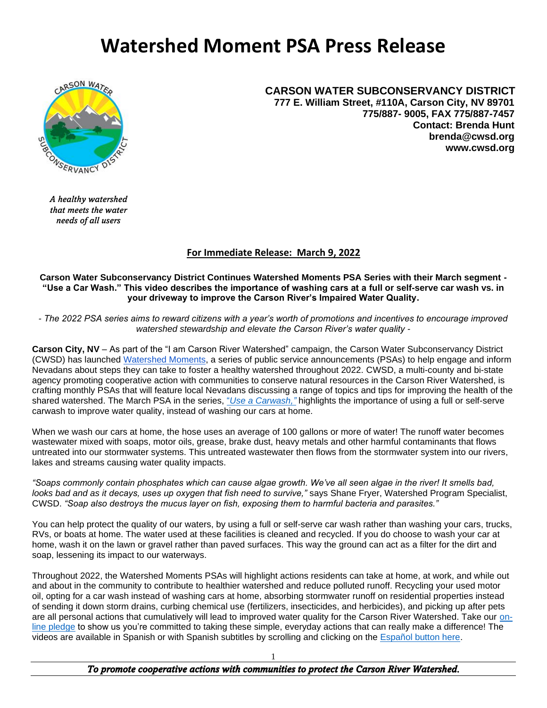## **Watershed Moment PSA Press Release**



**CARSON WATER SUBCONSERVANCY DISTRICT 777 E. William Street, #110A, Carson City, NV 89701 775/887- 9005, FAX 775/887-7457 Contact: Brenda Hunt brenda@cwsd.org www.cwsd.org**

*A healthy watershed that meets the water needs of all users*

## **For Immediate Release: March 9, 2022**

**Carson Water Subconservancy District Continues Watershed Moments PSA Series with their March segment - "Use a Car Wash." This video describes the importance of washing cars at a full or self-serve car wash vs. in your driveway to improve the Carson River's Impaired Water Quality.**

*- The 2022 PSA series aims to reward citizens with a year's worth of promotions and incentives to encourage improved watershed stewardship and elevate the Carson River's water quality -*

**Carson City, NV** – As part of the "I am Carson River Watershed" campaign, the Carson Water Subconservancy District (CWSD) has launched [Watershed Moments,](https://iamcarsonriver.org/) a series of public service announcements (PSAs) to help engage and inform Nevadans about steps they can take to foster a healthy watershed throughout 2022. CWSD, a multi-county and bi-state agency promoting cooperative action with communities to conserve natural resources in the Carson River Watershed, is crafting monthly PSAs that will feature local Nevadans discussing a range of topics and tips for improving the health of the shared watershed. The March PSA in the series, "*[Use a Carwash,"](https://iamcarsonriver.org/)* highlights the importance of using a full or self-serve carwash to improve water quality, instead of washing our cars at home.

When we wash our cars at home, the hose uses an average of 100 gallons or more of water! The runoff water becomes wastewater mixed with soaps, motor oils, grease, brake dust, heavy metals and other harmful contaminants that flows untreated into our stormwater systems. This untreated wastewater then flows from the stormwater system into our rivers, lakes and streams causing water quality impacts.

*"Soaps commonly contain phosphates which can cause algae growth. We've all seen algae in the river! It smells bad, looks bad and as it decays, uses up oxygen that fish need to survive,"* says Shane Fryer, Watershed Program Specialist, CWSD. *"Soap also destroys the mucus layer on fish, exposing them to harmful bacteria and parasites."*

You can help protect the quality of our waters, by using a full or self-serve car wash rather than washing your cars, trucks, RVs, or boats at home. The water used at these facilities is cleaned and recycled. If you do choose to wash your car at home, wash it on the lawn or gravel rather than paved surfaces. This way the ground can act as a filter for the dirt and soap, lessening its impact to our waterways.

Throughout 2022, the Watershed Moments PSAs will highlight actions residents can take at home, at work, and while out and about in the community to contribute to healthier watershed and reduce polluted runoff. Recycling your used motor oil, opting for a car wash instead of washing cars at home, absorbing stormwater runoff on residential properties instead of sending it down storm drains, curbing chemical use (fertilizers, insecticides, and herbicides), and picking up after pets are all personal actions that cumulatively will lead to improved water quality for the Carson River Watershed. Take our [on](https://docs.google.com/forms/d/e/1FAIpQLSdU7MyffiroXAbyh5Z-ADw4-68HX7SobPzRH_6s80Tb-GvVjw/viewform)[line pledge](https://docs.google.com/forms/d/e/1FAIpQLSdU7MyffiroXAbyh5Z-ADw4-68HX7SobPzRH_6s80Tb-GvVjw/viewform) to show us you're committed to taking these simple, everyday actions that can really make a difference! The videos are available in Spanish or with Spanish subtitles by scrolling and clicking on the [Español button here.](https://iamcarsonriver.org/)

*To promote cooperative actions with communities to protect the Carson River Watershed.* 

1